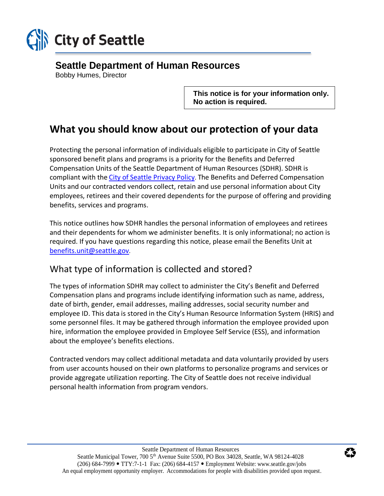

## **Seattle Department of Human Resources**

Bobby Humes, Director

**This notice is for your information only. No action is required.**

# **What you should know about our protection of your data**

Protecting the personal information of individuals eligible to participate in City of Seattle sponsored benefit plans and programs is a priority for the Benefits and Deferred Compensation Units of the Seattle Department of Human Resources (SDHR). SDHR is compliant with the [City of Seattle Privacy Policy](http://www.seattle.gov/tech/initiatives/privacy/about-the-privacy-program#purpose). The Benefits and Deferred Compensation Units and our contracted vendors collect, retain and use personal information about City employees, retirees and their covered dependents for the purpose of offering and providing benefits, services and programs.

This notice outlines how SDHR handles the personal information of employees and retirees and their dependents for whom we administer benefits. It is only informational; no action is required. If you have questions regarding this notice, please email the Benefits Unit at [benefits.unit@seattle.gov](mailto:benefits.unit@seattle.gov).

### What type of information is collected and stored?

The types of information SDHR may collect to administer the City's Benefit and Deferred Compensation plans and programs include identifying information such as name, address, date of birth, gender, email addresses, mailing addresses, social security number and employee ID. This data is stored in the City's Human Resource Information System (HRIS) and some personnel files. It may be gathered through information the employee provided upon hire, information the employee provided in Employee Self Service (ESS), and information about the employee's benefits elections.

Contracted vendors may collect additional metadata and data voluntarily provided by users from user accounts housed on their own platforms to personalize programs and services or provide aggregate utilization reporting. The City of Seattle does not receive individual personal health information from program vendors.